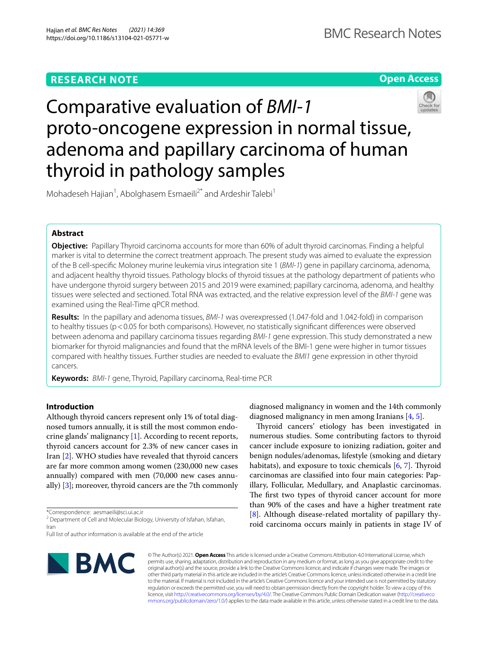# **RESEARCH NOTE**

# **Open Access**



# Comparative evaluation of *BMI‑1* proto-oncogene expression in normal tissue, adenoma and papillary carcinoma of human thyroid in pathology samples

Mohadeseh Hajian<sup>1</sup>, Abolghasem Esmaeili<sup>2\*</sup> and Ardeshir Talebi<sup>1</sup>

# **Abstract**

**Objective:** Papillary Thyroid carcinoma accounts for more than 60% of adult thyroid carcinomas. Finding a helpful marker is vital to determine the correct treatment approach. The present study was aimed to evaluate the expression of the B cell-specifc Moloney murine leukemia virus integration site 1 (*BMI-1*) gene in papillary carcinoma, adenoma, and adjacent healthy thyroid tissues. Pathology blocks of thyroid tissues at the pathology department of patients who have undergone thyroid surgery between 2015 and 2019 were examined; papillary carcinoma, adenoma, and healthy tissues were selected and sectioned. Total RNA was extracted, and the relative expression level of the *BMI-1* gene was examined using the Real-Time qPCR method.

**Results:** In the papillary and adenoma tissues, *BMI-1* was overexpressed (1.047-fold and 1.042-fold) in comparison to healthy tissues (p<0.05 for both comparisons). However, no statistically signifcant diferences were observed between adenoma and papillary carcinoma tissues regarding *BMI-1* gene expression. This study demonstrated a new biomarker for thyroid malignancies and found that the mRNA levels of the BMI-1 gene were higher in tumor tissues compared with healthy tissues. Further studies are needed to evaluate the *BMI1* gene expression in other thyroid cancers.

**Keywords:** *BMI-1* gene, Thyroid, Papillary carcinoma, Real-time PCR

# **Introduction**

Although thyroid cancers represent only 1% of total diagnosed tumors annually, it is still the most common endocrine glands' malignancy [[1\]](#page-3-0). According to recent reports, thyroid cancers account for 2.3% of new cancer cases in Iran [\[2](#page-3-1)]. WHO studies have revealed that thyroid cancers are far more common among women (230,000 new cases annually) compared with men (70,000 new cases annually) [\[3](#page-3-2)]; moreover, thyroid cancers are the 7th commonly

\*Correspondence: aesmaeili@sci.ui.ac.ir

<sup>2</sup> Department of Cell and Molecular Biology, University of Isfahan, Isfahan, Iran

Full list of author information is available at the end of the article



diagnosed malignancy in women and the 14th commonly diagnosed malignancy in men among Iranians [\[4](#page-3-3), [5\]](#page-3-4).

Thyroid cancers' etiology has been investigated in numerous studies. Some contributing factors to thyroid cancer include exposure to ionizing radiation, goiter and benign nodules/adenomas, lifestyle (smoking and dietary habitats), and exposure to toxic chemicals  $[6, 7]$  $[6, 7]$  $[6, 7]$  $[6, 7]$ . Thyroid carcinomas are classifed into four main categories: Papillary, Follicular, Medullary, and Anaplastic carcinomas. The first two types of thyroid cancer account for more than 90% of the cases and have a higher treatment rate [[8\]](#page-3-7). Although disease-related mortality of papillary thyroid carcinoma occurs mainly in patients in stage IV of

© The Author(s) 2021. **Open Access** This article is licensed under a Creative Commons Attribution 4.0 International License, which permits use, sharing, adaptation, distribution and reproduction in any medium or format, as long as you give appropriate credit to the original author(s) and the source, provide a link to the Creative Commons licence, and indicate if changes were made. The images or other third party material in this article are included in the article's Creative Commons licence, unless indicated otherwise in a credit line to the material. If material is not included in the article's Creative Commons licence and your intended use is not permitted by statutory regulation or exceeds the permitted use, you will need to obtain permission directly from the copyright holder. To view a copy of this licence, visit [http://creativecommons.org/licenses/by/4.0/.](http://creativecommons.org/licenses/by/4.0/) The Creative Commons Public Domain Dedication waiver ([http://creativeco](http://creativecommons.org/publicdomain/zero/1.0/) [mmons.org/publicdomain/zero/1.0/](http://creativecommons.org/publicdomain/zero/1.0/)) applies to the data made available in this article, unless otherwise stated in a credit line to the data.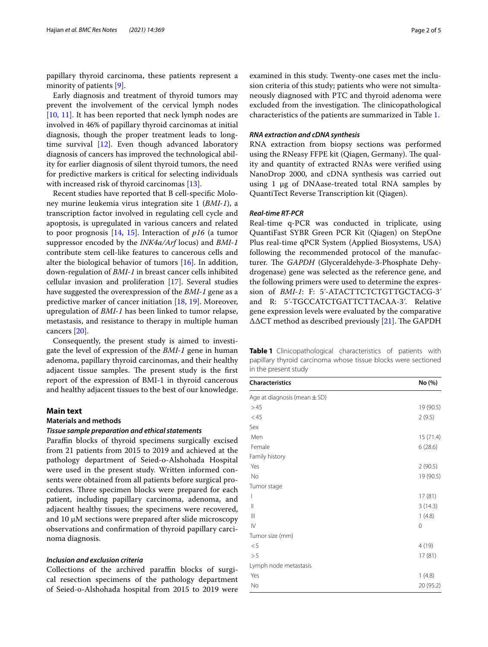papillary thyroid carcinoma, these patients represent a minority of patients [\[9](#page-3-8)].

Early diagnosis and treatment of thyroid tumors may prevent the involvement of the cervical lymph nodes [[10,](#page-3-9) [11\]](#page-3-10). It has been reported that neck lymph nodes are involved in 46% of papillary thyroid carcinomas at initial diagnosis, though the proper treatment leads to longtime survival  $[12]$  $[12]$ . Even though advanced laboratory diagnosis of cancers has improved the technological ability for earlier diagnosis of silent thyroid tumors, the need for predictive markers is critical for selecting individuals with increased risk of thyroid carcinomas [\[13\]](#page-3-12).

Recent studies have reported that B cell-specifc Moloney murine leukemia virus integration site 1 (*BMI-1*), a transcription factor involved in regulating cell cycle and apoptosis, is upregulated in various cancers and related to poor prognosis [[14,](#page-3-13) [15\]](#page-3-14). Interaction of *p16* (a tumor suppressor encoded by the *INK4a/Arf* locus) and *BMI-1* contribute stem cell-like features to cancerous cells and alter the biological behavior of tumors [[16](#page-3-15)]. In addition, down-regulation of *BMI-1* in breast cancer cells inhibited cellular invasion and proliferation [\[17](#page-3-16)]. Several studies have suggested the overexpression of the *BMI-1* gene as a predictive marker of cancer initiation [[18,](#page-3-17) [19\]](#page-3-18). Moreover, upregulation of *BMI-1* has been linked to tumor relapse, metastasis, and resistance to therapy in multiple human cancers [[20\]](#page-3-19).

Consequently, the present study is aimed to investigate the level of expression of the *BMI-1* gene in human adenoma, papillary thyroid carcinomas, and their healthy adjacent tissue samples. The present study is the first report of the expression of BMI-1 in thyroid cancerous and healthy adjacent tissues to the best of our knowledge.

#### **Main text**

# **Materials and methods**

# *Tissue sample preparation and ethical statements*

Paraffin blocks of thyroid specimens surgically excised from 21 patients from 2015 to 2019 and achieved at the pathology department of Seied-o-Alshohada Hospital were used in the present study. Written informed consents were obtained from all patients before surgical procedures. Three specimen blocks were prepared for each patient, including papillary carcinoma, adenoma, and adjacent healthy tissues; the specimens were recovered, and 10  $\mu$ M sections were prepared after slide microscopy observations and confrmation of thyroid papillary carcinoma diagnosis.

# *Inclusion and exclusion criteria*

Collections of the archived paraffin blocks of surgical resection specimens of the pathology department of Seied-o-Alshohada hospital from 2015 to 2019 were examined in this study. Twenty-one cases met the inclusion criteria of this study; patients who were not simultaneously diagnosed with PTC and thyroid adenoma were excluded from the investigation. The clinicopathological characteristics of the patients are summarized in Table [1.](#page-1-0)

# *RNA extraction and cDNA synthesis*

RNA extraction from biopsy sections was performed using the RNeasy FFPE kit (Qiagen, Germany). The quality and quantity of extracted RNAs were verifed using NanoDrop 2000, and cDNA synthesis was carried out using 1 μg of DNAase-treated total RNA samples by QuantiTect Reverse Transcription kit (Qiagen).

# *Real‑time RT‑PCR*

Real-time q-PCR was conducted in triplicate, using QuantiFast SYBR Green PCR Kit (Qiagen) on StepOne Plus real-time qPCR System (Applied Biosystems, USA) following the recommended protocol of the manufacturer. The *GAPDH* (Glyceraldehyde-3-Phosphate Dehydrogenase) gene was selected as the reference gene, and the following primers were used to determine the expression of *BMI-1*: F: 5'-ATACTTCTCTGTTGCTACG-3' and R: 5ʹ-TGCCATCTGATTCTTACAA-3ʹ. Relative gene expression levels were evaluated by the comparative  $\triangle$  $\triangle$ CT method as described previously [[21](#page-4-0)]. The GAPDH

<span id="page-1-0"></span>**Table 1** Clinicopathological characteristics of patients with papillary thyroid carcinoma whose tissue blocks were sectioned in the present study

| <b>Characteristics</b>           | No (%)    |
|----------------------------------|-----------|
| Age at diagnosis (mean $\pm$ SD) |           |
| >45                              | 19 (90.5) |
| $<$ 45                           | 2(9.5)    |
| Sex                              |           |
| Men                              | 15 (71.4) |
| Female                           | 6(28.6)   |
| Family history                   |           |
| Yes                              | 2(90.5)   |
| <b>No</b>                        | 19 (90.5) |
| Tumor stage                      |           |
| $\overline{\phantom{a}}$         | 17(81)    |
| $\mathbf{  }$                    | 3(14.3)   |
| $\mathsf{III}$                   | 1(4.8)    |
| $\mathsf{IV}$                    | 0         |
| Tumor size (mm)                  |           |
| < 5                              | 4(19)     |
| >5                               | 17(81)    |
| Lymph node metastasis            |           |
| Yes                              | 1(4.8)    |
| No                               | 20 (95.2) |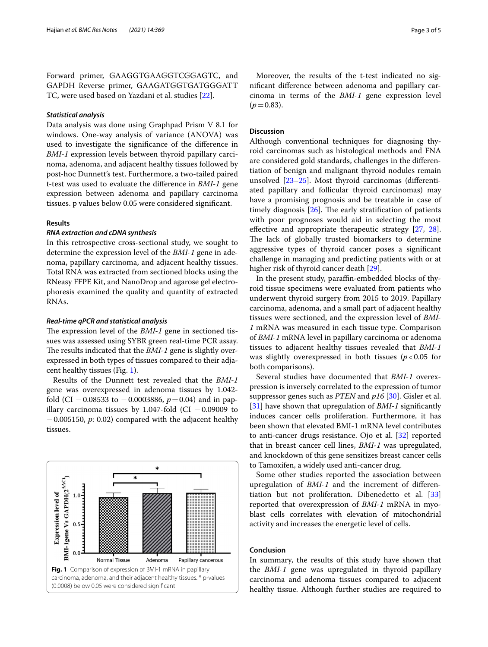Forward primer, GAAGGTGAAGGTCGGAGTC, and GAPDH Reverse primer, GAAGATGGTGATGGGATT TC, were used based on Yazdani et al. studies [[22](#page-4-1)].

# *Statistical analysis*

Data analysis was done using Graphpad Prism V 8.1 for windows. One-way analysis of variance (ANOVA) was used to investigate the signifcance of the diference in *BMI-1* expression levels between thyroid papillary carcinoma, adenoma, and adjacent healthy tissues followed by post-hoc Dunnett's test. Furthermore, a two-tailed paired t-test was used to evaluate the diference in *BMI-1* gene expression between adenoma and papillary carcinoma tissues. p values below 0.05 were considered signifcant.

## **Results**

# *RNA extraction and cDNA synthesis*

In this retrospective cross-sectional study, we sought to determine the expression level of the *BMI-1* gene in adenoma, papillary carcinoma, and adjacent healthy tissues. Total RNA was extracted from sectioned blocks using the RNeasy FFPE Kit, and NanoDrop and agarose gel electrophoresis examined the quality and quantity of extracted RNAs.

# *Real‑time qPCR and statistical analysis*

The expression level of the *BMI-1* gene in sectioned tissues was assessed using SYBR green real-time PCR assay. The results indicated that the *BMI-1* gene is slightly overexpressed in both types of tissues compared to their adjacent healthy tissues (Fig. [1](#page-2-0)).

Results of the Dunnett test revealed that the *BMI-1* gene was overexpressed in adenoma tissues by 1.042 fold (CI −0.08533 to −0.0003886, *p*=0.04) and in papillary carcinoma tissues by 1.047-fold (CI  $-0.09009$  to −0.005150, *p*: 0.02) compared with the adjacent healthy tissues.

<span id="page-2-0"></span>

Moreover, the results of the t-test indicated no signifcant diference between adenoma and papillary carcinoma in terms of the *BMI-1* gene expression level  $(p=0.83)$ .

# **Discussion**

Although conventional techniques for diagnosing thyroid carcinomas such as histological methods and FNA are considered gold standards, challenges in the diferentiation of benign and malignant thyroid nodules remain unsolved [[23–](#page-4-2)[25](#page-4-3)]. Most thyroid carcinomas (diferentiated papillary and follicular thyroid carcinomas) may have a promising prognosis and be treatable in case of timely diagnosis  $[26]$  $[26]$  $[26]$ . The early stratification of patients with poor prognoses would aid in selecting the most efective and appropriate therapeutic strategy [[27](#page-4-5), [28](#page-4-6)]. The lack of globally trusted biomarkers to determine aggressive types of thyroid cancer poses a signifcant challenge in managing and predicting patients with or at higher risk of thyroid cancer death [[29\]](#page-4-7).

In the present study, parafn-embedded blocks of thyroid tissue specimens were evaluated from patients who underwent thyroid surgery from 2015 to 2019. Papillary carcinoma, adenoma, and a small part of adjacent healthy tissues were sectioned, and the expression level of *BMI-1* mRNA was measured in each tissue type. Comparison of *BMI-1* mRNA level in papillary carcinoma or adenoma tissues to adjacent healthy tissues revealed that *BMI-1* was slightly overexpressed in both tissues  $(p<0.05$  for both comparisons).

Several studies have documented that *BMI-1* overexpression is inversely correlated to the expression of tumor suppressor genes such as *PTEN* and *p16* [[30](#page-4-8)]. Gisler et al. [[31\]](#page-4-9) have shown that upregulation of *BMI-1* signifcantly induces cancer cells proliferation. Furthermore, it has been shown that elevated BMI-1 mRNA level contributes to anti-cancer drugs resistance. Ojo et al. [\[32](#page-4-10)] reported that in breast cancer cell lines, *BMI-1* was upregulated, and knockdown of this gene sensitizes breast cancer cells to Tamoxifen, a widely used anti-cancer drug.

Some other studies reported the association between upregulation of *BMI-1* and the increment of diferentiation but not proliferation. Dibenedetto et al. [[33](#page-4-11)] reported that overexpression of *BMI-1* mRNA in myoblast cells correlates with elevation of mitochondrial activity and increases the energetic level of cells.

## **Conclusion**

In summary, the results of this study have shown that the *BMI-1* gene was upregulated in thyroid papillary carcinoma and adenoma tissues compared to adjacent healthy tissue. Although further studies are required to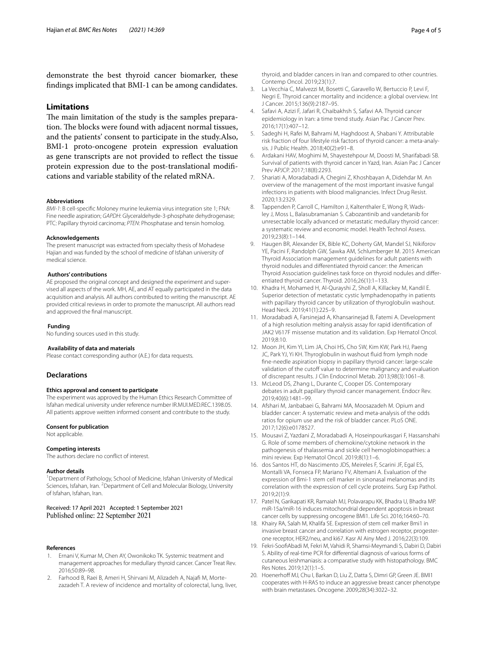demonstrate the best thyroid cancer biomarker, these fndings implicated that BMI-1 can be among candidates.

# **Limitations**

The main limitation of the study is the samples preparation. The blocks were found with adjacent normal tissues, and the patients' consent to participate in the study.Also, BMI-1 proto-oncogene protein expression evaluation as gene transcripts are not provided to refect the tissue protein expression due to the post-translational modifcations and variable stability of the related mRNA.

#### **Abbreviations**

*BMI-1*: B cell-specifc Moloney murine leukemia virus integration site 1; FNA: Fine needle aspiration; *GAPDH*: Glyceraldehyde-3-phosphate dehydrogenase; PTC: Papillary thyroid carcinoma; *PTEN*: Phosphatase and tensin homolog.

#### **Acknowledgements**

The present manuscript was extracted from specialty thesis of Mohadese Hajian and was funded by the school of medicine of Isfahan university of medical science.

#### **Authors' contributions**

AE proposed the original concept and designed the experiment and supervised all aspects of the work. MH, AE, and AT equally participated in the data acquisition and analysis. All authors contributed to writing the manuscript. AE provided critical reviews in order to promote the manuscript. All authors read and approved the fnal manuscript.

#### **Funding**

No funding sources used in this study.

#### **Availability of data and materials**

Please contact corresponding author (A.E.) for data requests.

#### **Declarations**

#### **Ethics approval and consent to participate**

The experiment was approved by the Human Ethics Research Committee of Isfahan medical university under reference number IR.MUI.MED.REC.1398.05. All patients approve weitten informed consent and contribute to the study.

#### **Consent for publication**

Not applicable.

#### **Competing interests**

The authors declare no confict of interest.

#### **Author details**

<sup>1</sup> Department of Pathology, School of Medicine, Isfahan University of Medical Sciences, Isfahan, Iran. <sup>2</sup> Department of Cell and Molecular Biology, University of Isfahan, Isfahan, Iran.

### Received: 17 April 2021 Accepted: 1 September 2021 Published online: 22 September 2021

### **References**

- <span id="page-3-0"></span>1. Ernani V, Kumar M, Chen AY, Owonikoko TK. Systemic treatment and management approaches for medullary thyroid cancer. Cancer Treat Rev. 2016;50:89–98.
- <span id="page-3-1"></span>2. Farhood B, Raei B, Ameri H, Shirvani M, Alizadeh A, Najaf M, Mortezazadeh T. A review of incidence and mortality of colorectal, lung, liver,

thyroid, and bladder cancers in Iran and compared to other countries. Contemp Oncol. 2019;23(1):7.

- <span id="page-3-2"></span>3. La Vecchia C, Malvezzi M, Bosetti C, Garavello W, Bertuccio P, Levi F, Negri E. Thyroid cancer mortality and incidence: a global overview. Int J Cancer. 2015;136(9):2187–95.
- <span id="page-3-3"></span>4. Safavi A, Azizi F, Jafari R, Chaibakhsh S, Safavi AA. Thyroid cancer epidemiology in Iran: a time trend study. Asian Pac J Cancer Prev. 2016;17(1):407–12.
- <span id="page-3-4"></span>5. Sadeghi H, Rafei M, Bahrami M, Haghdoost A, Shabani Y. Attributable risk fraction of four lifestyle risk factors of thyroid cancer: a meta-analysis. J Public Health. 2018;40(2):e91–8.
- <span id="page-3-5"></span>6. Ardakani HAV, Moghimi M, Shayestehpour M, Doosti M, Sharifabadi SB. Survival of patients with thyroid cancer in Yazd, Iran. Asian Pac J Cancer Prev APJCP. 2017;18(8):2293.
- <span id="page-3-6"></span>7. Shariati A, Moradabadi A, Chegini Z, Khoshbayan A, Didehdar M. An overview of the management of the most important invasive fungal infections in patients with blood malignancies. Infect Drug Resist. 2020;13:2329.
- <span id="page-3-7"></span>8. Tappenden P, Carroll C, Hamilton J, Kaltenthaler E, Wong R, Wadsley J, Moss L, Balasubramanian S. Cabozantinib and vandetanib for unresectable locally advanced or metastatic medullary thyroid cancer: a systematic review and economic model. Health Technol Assess. 2019;23(8):1–144.
- <span id="page-3-8"></span>9. Haugen BR, Alexander EK, Bible KC, Doherty GM, Mandel SJ, Nikiforov YE, Pacini F, Randolph GW, Sawka AM, Schlumberger M. 2015 American Thyroid Association management guidelines for adult patients with thyroid nodules and diferentiated thyroid cancer: the American Thyroid Association guidelines task force on thyroid nodules and diferentiated thyroid cancer. Thyroid. 2016;26(1):1–133.
- <span id="page-3-9"></span>10. Khadra H, Mohamed H, Al-Qurayshi Z, Sholl A, Killackey M, Kandil E. Superior detection of metastatic cystic lymphadenopathy in patients with papillary thyroid cancer by utilization of thyroglobulin washout. Head Neck. 2019;41(1):225–9.
- <span id="page-3-10"></span>11. Moradabadi A, Farsinejad A, Khansarinejad B, Fatemi A. Development of a high resolution melting analysis assay for rapid identifcation of JAK2 V617F missense mutation and its validation. Exp Hematol Oncol. 2019;8:10.
- <span id="page-3-11"></span>12. Moon JH, Kim YI, Lim JA, Choi HS, Cho SW, Kim KW, Park HJ, Paeng JC, Park YJ, Yi KH. Thyroglobulin in washout fuid from lymph node fne-needle aspiration biopsy in papillary thyroid cancer: large-scale validation of the cutoff value to determine malignancy and evaluation of discrepant results. J Clin Endocrinol Metab. 2013;98(3):1061–8.
- <span id="page-3-12"></span>13. McLeod DS, Zhang L, Durante C, Cooper DS. Contemporary debates in adult papillary thyroid cancer management. Endocr Rev. 2019;40(6):1481–99.
- <span id="page-3-13"></span>14. Afshari M, Janbabaei G, Bahrami MA, Moosazadeh M. Opium and bladder cancer: A systematic review and meta-analysis of the odds ratios for opium use and the risk of bladder cancer. PLoS ONE. 2017;12(6):e0178527.
- <span id="page-3-14"></span>15. Mousavi Z, Yazdani Z, Moradabadi A, Hoseinpourkasgari F, Hassanshahi G. Role of some members of chemokine/cytokine network in the pathogenesis of thalassemia and sickle cell hemoglobinopathies: a mini review. Exp Hematol Oncol. 2019;8(1):1–6.
- <span id="page-3-15"></span>16. dos Santos HT, do Nascimento JDS, Meireles F, Scarini JF, Egal ES, Montalli VA, Fonseca FP, Mariano FV, Altemani A. Evaluation of the expression of Bmi-1 stem cell marker in sinonasal melanomas and its correlation with the expression of cell cycle proteins. Surg Exp Pathol. 2019;2(1):9.
- <span id="page-3-16"></span>17. Patel N, Garikapati KR, Ramaiah MJ, Polavarapu KK, Bhadra U, Bhadra MP. miR-15a/miR-16 induces mitochondrial dependent apoptosis in breast cancer cells by suppressing oncogene BMI1. Life Sci. 2016;164:60–70.
- <span id="page-3-17"></span>18. Khairy RA, Salah M, Khalifa SE. Expression of stem cell marker Bmi1 in invasive breast cancer and correlation with estrogen receptor, progesterone receptor, HER2/neu, and ki67. Kasr Al Ainy Med J. 2016;22(3):109.
- <span id="page-3-18"></span>19. Fekri-SoofAbadi M, Fekri M, Vahidi R, Shamsi-Meymandi S, Dabiri D, Dabiri S. Ability of real-time PCR for diferential diagnosis of various forms of cutaneous leishmaniasis: a comparative study with histopathology. BMC Res Notes. 2019;12(1):1–5.
- <span id="page-3-19"></span>20. Hoenerhoff MJ, Chu I, Barkan D, Liu Z, Datta S, Dimri GP, Green JE. BMI1 cooperates with H-RAS to induce an aggressive breast cancer phenotype with brain metastases. Oncogene. 2009;28(34):3022–32.